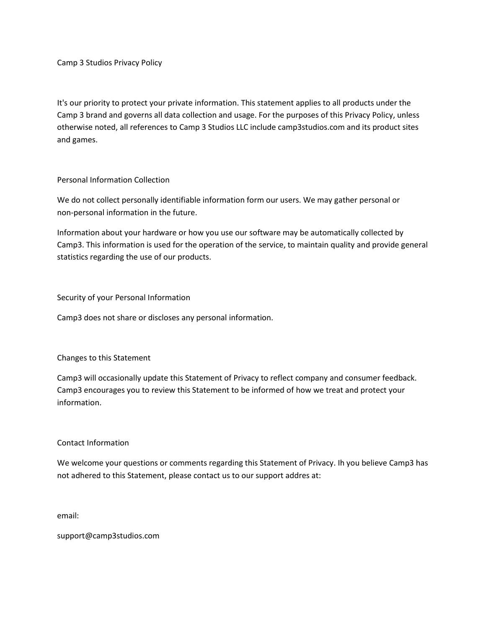Camp 3 Studios Privacy Policy

It's our priority to protect your private information. This statement applies to all products under the Camp 3 brand and governs all data collection and usage. For the purposes of this Privacy Policy, unless otherwise noted, all references to Camp 3 Studios LLC include camp3studios.com and its product sites and games.

Personal Information Collection

We do not collect personally identifiable information form our users. We may gather personal or non-personal information in the future.

Information about your hardware or how you use our software may be automatically collected by Camp3. This information is used for the operation of the service, to maintain quality and provide general statistics regarding the use of our products.

Security of your Personal Information

Camp3 does not share or discloses any personal information.

Changes to this Statement

Camp3 will occasionally update this Statement of Privacy to reflect company and consumer feedback. Camp3 encourages you to review this Statement to be informed of how we treat and protect your information.

## Contact Information

We welcome your questions or comments regarding this Statement of Privacy. Ih you believe Camp3 has not adhered to this Statement, please contact us to our support addres at:

email:

support@camp3studios.com